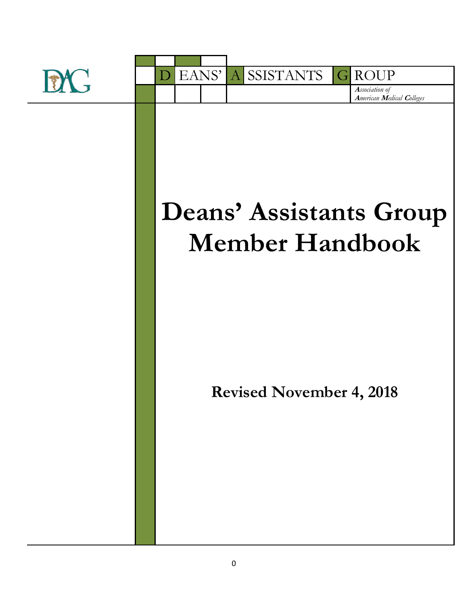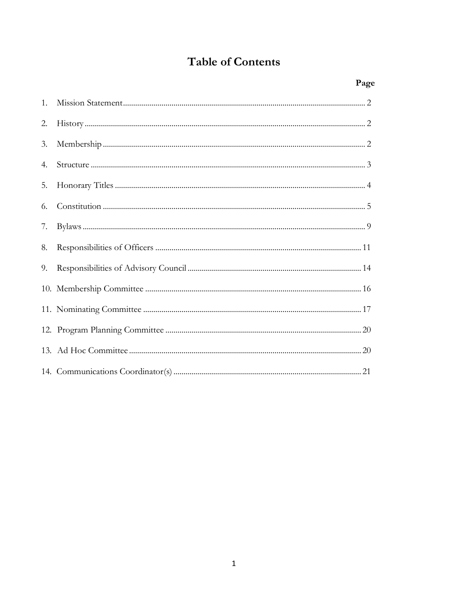# **Table of Contents**

|    | Page |
|----|------|
| 1. |      |
| 2. |      |
| 3. |      |
| 4. |      |
| 5. |      |
| 6. |      |
| 7. |      |
| 8. |      |
| 9. |      |
|    |      |
|    |      |
|    |      |
|    |      |
|    |      |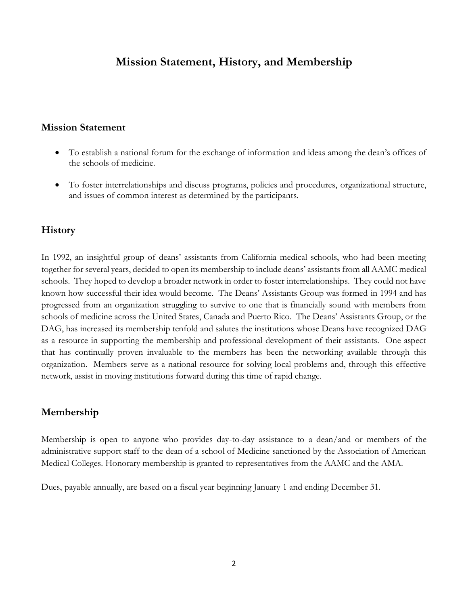# **Mission Statement, History, and Membership**

#### **Mission Statement**

- To establish a national forum for the exchange of information and ideas among the dean's offices of the schools of medicine.
- To foster interrelationships and discuss programs, policies and procedures, organizational structure, and issues of common interest as determined by the participants.

### **History**

In 1992, an insightful group of deans' assistants from California medical schools, who had been meeting together for several years, decided to open its membership to include deans' assistants from all AAMC medical schools. They hoped to develop a broader network in order to foster interrelationships. They could not have known how successful their idea would become. The Deans' Assistants Group was formed in 1994 and has progressed from an organization struggling to survive to one that is financially sound with members from schools of medicine across the United States, Canada and Puerto Rico. The Deans' Assistants Group, or the DAG, has increased its membership tenfold and salutes the institutions whose Deans have recognized DAG as a resource in supporting the membership and professional development of their assistants. One aspect that has continually proven invaluable to the members has been the networking available through this organization. Members serve as a national resource for solving local problems and, through this effective network, assist in moving institutions forward during this time of rapid change.

### **Membership**

Membership is open to anyone who provides day-to-day assistance to a dean/and or members of the administrative support staff to the dean of a school of Medicine sanctioned by the Association of American Medical Colleges. Honorary membership is granted to representatives from the AAMC and the AMA.

Dues, payable annually, are based on a fiscal year beginning January 1 and ending December 31.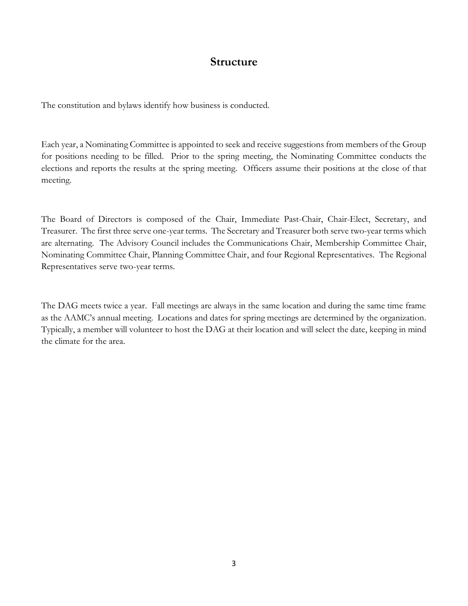# **Structure**

The constitution and bylaws identify how business is conducted.

Each year, a Nominating Committee is appointed to seek and receive suggestions from members of the Group for positions needing to be filled. Prior to the spring meeting, the Nominating Committee conducts the elections and reports the results at the spring meeting. Officers assume their positions at the close of that meeting.

The Board of Directors is composed of the Chair, Immediate Past-Chair, Chair-Elect, Secretary, and Treasurer. The first three serve one-year terms. The Secretary and Treasurer both serve two-year terms which are alternating. The Advisory Council includes the Communications Chair, Membership Committee Chair, Nominating Committee Chair, Planning Committee Chair, and four Regional Representatives. The Regional Representatives serve two-year terms.

The DAG meets twice a year. Fall meetings are always in the same location and during the same time frame as the AAMC's annual meeting. Locations and dates for spring meetings are determined by the organization. Typically, a member will volunteer to host the DAG at their location and will select the date, keeping in mind the climate for the area.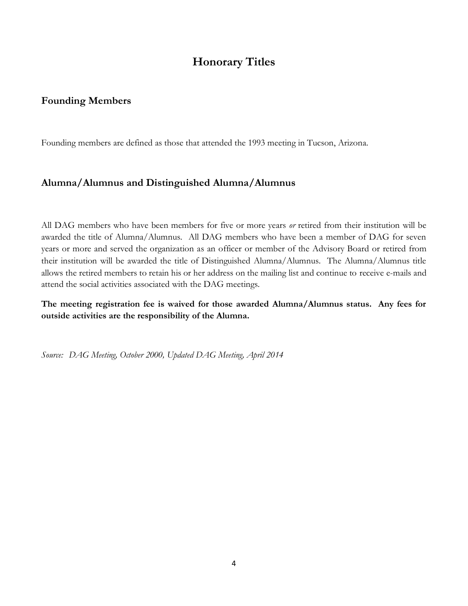# **Honorary Titles**

### **Founding Members**

Founding members are defined as those that attended the 1993 meeting in Tucson, Arizona.

## **Alumna/Alumnus and Distinguished Alumna/Alumnus**

All DAG members who have been members for five or more years *or* retired from their institution will be awarded the title of Alumna/Alumnus. All DAG members who have been a member of DAG for seven years or more and served the organization as an officer or member of the Advisory Board or retired from their institution will be awarded the title of Distinguished Alumna/Alumnus. The Alumna/Alumnus title allows the retired members to retain his or her address on the mailing list and continue to receive e-mails and attend the social activities associated with the DAG meetings.

**The meeting registration fee is waived for those awarded Alumna/Alumnus status. Any fees for outside activities are the responsibility of the Alumna.** 

*Source: DAG Meeting, October 2000, Updated DAG Meeting, April 2014*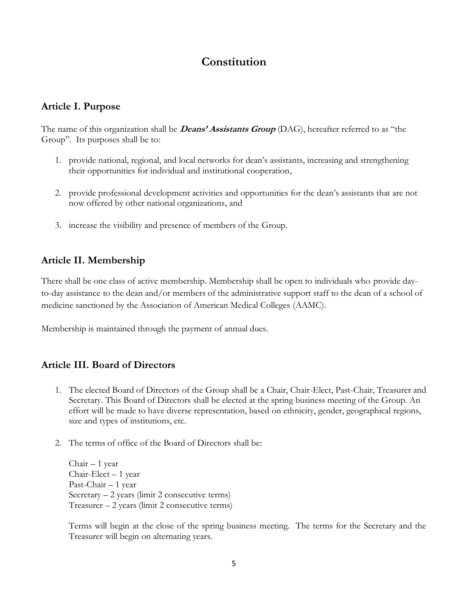# **Constitution**

### **Article I. Purpose**

The name of this organization shall be **Deans' Assistants Group** (DAG), hereafter referred to as "the Group". Its purposes shall be to:

- 1. provide national, regional, and local networks for dean's assistants, increasing and strengthening their opportunities for individual and institutional cooperation,
- 2. provide professional development activities and opportunities for the dean's assistants that are not now offered by other national organizations, and
- 3. increase the visibility and presence of members of the Group.

# **Article II. Membership**

There shall be one class of active membership. Membership shall be open to individuals who provide dayto-day assistance to the dean and/or members of the administrative support staff to the dean of a school of medicine sanctioned by the Association of American Medical Colleges (AAMC).

Membership is maintained through the payment of annual dues.

## **Article III. Board of Directors**

- 1. The elected Board of Directors of the Group shall be a Chair, Chair-Elect, Past-Chair, Treasurer and Secretary. This Board of Directors shall be elected at the spring business meeting of the Group. An effort will be made to have diverse representation, based on ethnicity, gender, geographical regions, size and types of institutions, etc.
- 2. The terms of office of the Board of Directors shall be:

Chair – 1 year Chair-Elect – 1 year Past-Chair – 1 year Secretary – 2 years (limit 2 consecutive terms) Treasurer – 2 years (limit 2 consecutive terms)

Terms will begin at the close of the spring business meeting. The terms for the Secretary and the Treasurer will begin on alternating years.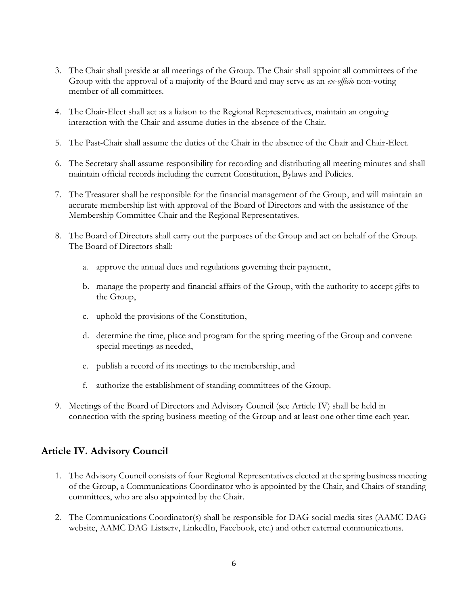- 3. The Chair shall preside at all meetings of the Group. The Chair shall appoint all committees of the Group with the approval of a majority of the Board and may serve as an *ex-officio* non-voting member of all committees.
- 4. The Chair-Elect shall act as a liaison to the Regional Representatives, maintain an ongoing interaction with the Chair and assume duties in the absence of the Chair.
- 5. The Past-Chair shall assume the duties of the Chair in the absence of the Chair and Chair-Elect.
- 6. The Secretary shall assume responsibility for recording and distributing all meeting minutes and shall maintain official records including the current Constitution, Bylaws and Policies.
- 7. The Treasurer shall be responsible for the financial management of the Group, and will maintain an accurate membership list with approval of the Board of Directors and with the assistance of the Membership Committee Chair and the Regional Representatives.
- 8. The Board of Directors shall carry out the purposes of the Group and act on behalf of the Group. The Board of Directors shall:
	- a. approve the annual dues and regulations governing their payment,
	- b. manage the property and financial affairs of the Group, with the authority to accept gifts to the Group,
	- c. uphold the provisions of the Constitution,
	- d. determine the time, place and program for the spring meeting of the Group and convene special meetings as needed,
	- e. publish a record of its meetings to the membership, and
	- f. authorize the establishment of standing committees of the Group.
- 9. Meetings of the Board of Directors and Advisory Council (see Article IV) shall be held in connection with the spring business meeting of the Group and at least one other time each year.

### **Article IV. Advisory Council**

- 1. The Advisory Council consists of four Regional Representatives elected at the spring business meeting of the Group, a Communications Coordinator who is appointed by the Chair, and Chairs of standing committees, who are also appointed by the Chair.
- 2. The Communications Coordinator(s) shall be responsible for DAG social media sites (AAMC DAG website, AAMC DAG Listserv, LinkedIn, Facebook, etc.) and other external communications.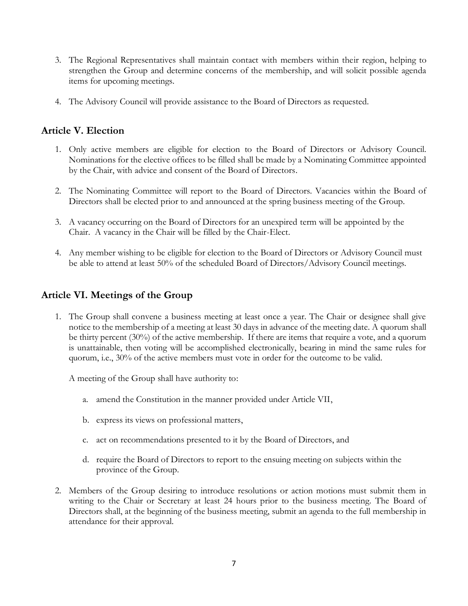- 3. The Regional Representatives shall maintain contact with members within their region, helping to strengthen the Group and determine concerns of the membership, and will solicit possible agenda items for upcoming meetings.
- 4. The Advisory Council will provide assistance to the Board of Directors as requested.

## **Article V. Election**

- 1. Only active members are eligible for election to the Board of Directors or Advisory Council. Nominations for the elective offices to be filled shall be made by a Nominating Committee appointed by the Chair, with advice and consent of the Board of Directors.
- 2. The Nominating Committee will report to the Board of Directors. Vacancies within the Board of Directors shall be elected prior to and announced at the spring business meeting of the Group.
- 3. A vacancy occurring on the Board of Directors for an unexpired term will be appointed by the Chair. A vacancy in the Chair will be filled by the Chair-Elect.
- 4. Any member wishing to be eligible for election to the Board of Directors or Advisory Council must be able to attend at least 50% of the scheduled Board of Directors/Advisory Council meetings.

# **Article VI. Meetings of the Group**

1. The Group shall convene a business meeting at least once a year. The Chair or designee shall give notice to the membership of a meeting at least 30 days in advance of the meeting date. A quorum shall be thirty percent (30%) of the active membership. If there are items that require a vote, and a quorum is unattainable, then voting will be accomplished electronically, bearing in mind the same rules for quorum, i.e., 30% of the active members must vote in order for the outcome to be valid.

A meeting of the Group shall have authority to:

- a. amend the Constitution in the manner provided under Article VII,
- b. express its views on professional matters,
- c. act on recommendations presented to it by the Board of Directors, and
- d. require the Board of Directors to report to the ensuing meeting on subjects within the province of the Group.
- 2. Members of the Group desiring to introduce resolutions or action motions must submit them in writing to the Chair or Secretary at least 24 hours prior to the business meeting. The Board of Directors shall, at the beginning of the business meeting, submit an agenda to the full membership in attendance for their approval.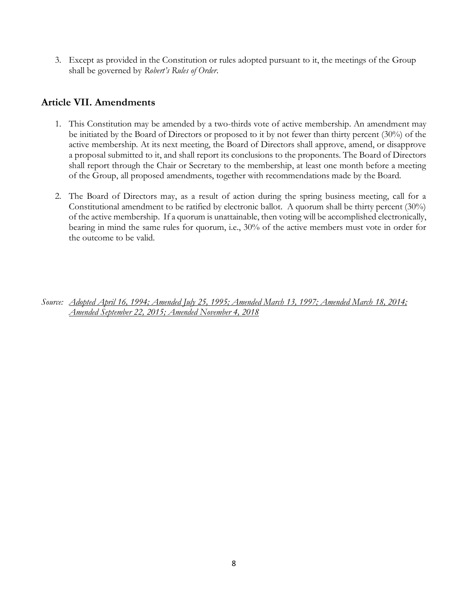3. Except as provided in the Constitution or rules adopted pursuant to it, the meetings of the Group shall be governed by *Robert's Rules of Order*.

### **Article VII. Amendments**

- 1. This Constitution may be amended by a two-thirds vote of active membership. An amendment may be initiated by the Board of Directors or proposed to it by not fewer than thirty percent (30%) of the active membership. At its next meeting, the Board of Directors shall approve, amend, or disapprove a proposal submitted to it, and shall report its conclusions to the proponents. The Board of Directors shall report through the Chair or Secretary to the membership, at least one month before a meeting of the Group, all proposed amendments, together with recommendations made by the Board.
- 2. The Board of Directors may, as a result of action during the spring business meeting, call for a Constitutional amendment to be ratified by electronic ballot. A quorum shall be thirty percent (30%) of the active membership. If a quorum is unattainable, then voting will be accomplished electronically, bearing in mind the same rules for quorum, i.e., 30% of the active members must vote in order for the outcome to be valid.

*Source: Adopted April 16, 1994; Amended July 25, 1995; Amended March 13, 1997; Amended March 18, 2014; Amended September 22, 2015; Amended November 4, 2018*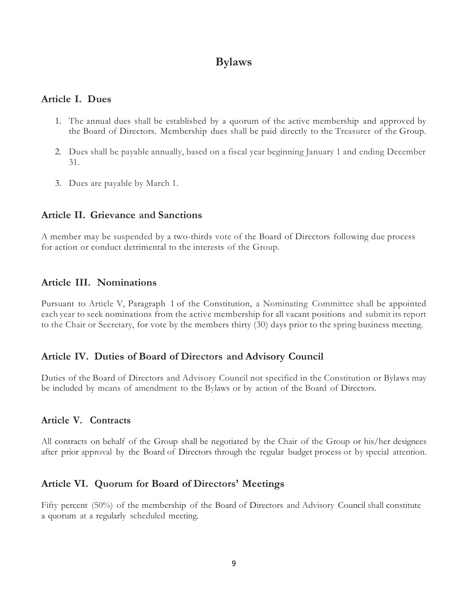# **Bylaws**

### **Article I. Dues**

- 1. The annual dues shall be established by a quorum of the active membership and approved by the Board of Directors. Membership dues shall be paid directly to the Treasurer of the Group.
- 2. Dues shall be payable annually, based on a fiscal year beginning January 1 and ending December 31.
- 3. Dues are payable by March 1.

### **Article II. Grievance and Sanctions**

A member may be suspended by a two-thirds vote of the Board of Directors following due process for action or conduct detrimental to the interests of the Group.

### **Article III. Nominations**

Pursuant to Article V, Paragraph 1 of the Constitution, a Nominating Committee shall be appointed each year to seek nominations from the active membership for all vacant positions and submit its report to the Chair or Secretary, for vote by the members thirty (30) days prior to the spring business meeting.

### **Article IV. Duties of Board of Directors and Advisory Council**

Duties of the Board of Directors and Advisory Council not specified in the Constitution or Bylaws may be included by means of amendment to the Bylaws or by action of the Board of Directors.

## **Article V. Contracts**

All contracts on behalf of the Group shall be negotiated by the Chair of the Group or his/her designees after prior approval by the Board of Directors through the regular budget process or by special attention.

## **Article VI. Quorum for Board of Directors' Meetings**

Fifty percent (50%) of the membership of the Board of Directors and Advisory Council shall constitute a quorum at a regularly scheduled meeting.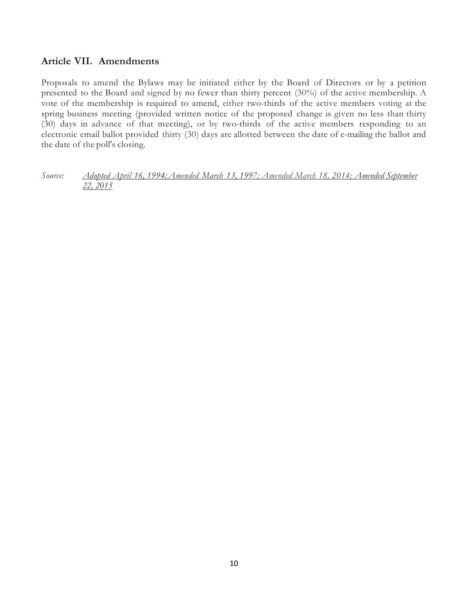## **Article VII. Amendments**

Proposals to amend the Bylaws may be initiated either by the Board of Directors or by a petition presented to the Board and signed by no fewer than thirty percent (30%) of the active membership. A vote of the membership is required to amend, either two-thirds of the active members voting at the spring business meeting (provided written notice of the proposed change is given no less than thirty (30) days in advance of that meeting), or by two-thirds of the active members responding to an electronic email ballot provided thirty (30) days are allotted between the date of e-mailing the ballot and the date of the poll's closing.

*Source: Adopted April 16, 1994;Amended March 13, 1997; Amended March 18, 2014; Amended September 22, 2015*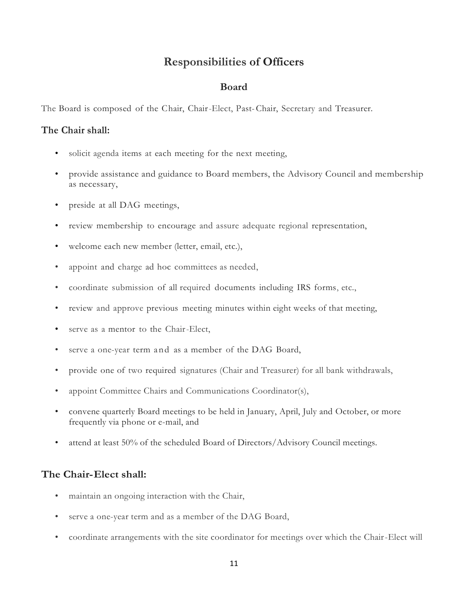# **Responsibilities of Officers**

### **Board**

The Board is composed of the Chair, Chair-Elect, Past-Chair, Secretary and Treasurer.

### **The Chair shall:**

- solicit agenda items at each meeting for the next meeting,
- provide assistance and guidance to Board members, the Advisory Council and membership as necessary,
- preside at all DAG meetings,
- review membership to encourage and assure adequate regional representation,
- welcome each new member (letter, email, etc.),
- appoint and charge ad hoc committees as needed,
- coordinate submission of all required documents including IRS forms, etc.,
- review and approve previous meeting minutes within eight weeks of that meeting,
- serve as a mentor to the Chair-Elect,
- serve a one-year term and as a member of the DAG Board,
- provide one of two required signatures (Chair and Treasurer) for all bank withdrawals,
- appoint Committee Chairs and Communications Coordinator(s),
- convene quarterly Board meetings to be held in January, April, July and October, or more frequently via phone or e-mail, and
- attend at least 50% of the scheduled Board of Directors/Advisory Council meetings.

## **The Chair-Elect shall:**

- maintain an ongoing interaction with the Chair,
- serve a one-year term and as a member of the DAG Board,
- coordinate arrangements with the site coordinator for meetings over which the Chair-Elect will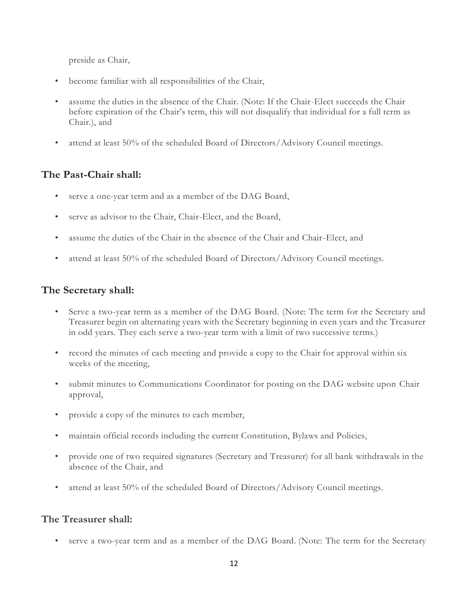preside as Chair,

- become familiar with all responsibilities of the Chair,
- assume the duties in the absence of the Chair. (Note: If the Chair-Elect succeeds the Chair before expiration of the Chair's term, this will not disqualify that individual for a full term as Chair.), and
- attend at least 50% of the scheduled Board of Directors/Advisory Council meetings.

# **The Past-Chair shall:**

- serve a one-year term and as a member of the DAG Board,
- serve as advisor to the Chair, Chair-Elect, and the Board,
- assume the duties of the Chair in the absence of the Chair and Chair-Elect, and
- attend at least 50% of the scheduled Board of Directors/Advisory Council meetings.

# **The Secretary shall:**

- Serve a two-year term as a member of the DAG Board. (Note: The term for the Secretary and Treasurer begin on alternating years with the Secretary beginning in even years and the Treasurer in odd years. They each serve a two-year term with a limit of two successive terms.)
- record the minutes of each meeting and provide a copy to the Chair for approval within six weeks of the meeting,
- submit minutes to Communications Coordinator for posting on the DAG website upon Chair approval,
- provide a copy of the minutes to each member,
- maintain official records including the current Constitution, Bylaws and Policies,
- provide one of two required signatures (Secretary and Treasurer) for all bank withdrawals in the absence of the Chair, and
- attend at least 50% of the scheduled Board of Directors/Advisory Council meetings.

# **The Treasurer shall:**

serve a two-year term and as a member of the DAG Board. (Note: The term for the Secretary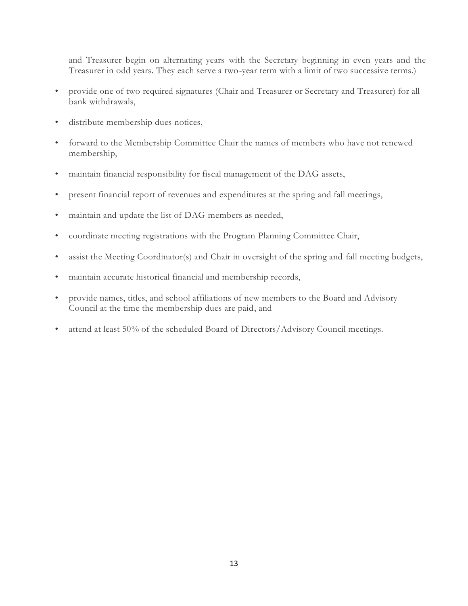and Treasurer begin on alternating years with the Secretary beginning in even years and the Treasurer in odd years. They each serve a two-year term with a limit of two successive terms.)

- provide one of two required signatures (Chair and Treasurer or Secretary and Treasurer) for all bank withdrawals,
- distribute membership dues notices,
- forward to the Membership Committee Chair the names of members who have not renewed membership,
- maintain financial responsibility for fiscal management of the DAG assets,
- present financial report of revenues and expenditures at the spring and fall meetings,
- maintain and update the list of DAG members as needed,
- coordinate meeting registrations with the Program Planning Committee Chair,
- assist the Meeting Coordinator(s) and Chair in oversight of the spring and fall meeting budgets,
- maintain accurate historical financial and membership records,
- provide names, titles, and school affiliations of new members to the Board and Advisory Council at the time the membership dues are paid, and
- attend at least 50% of the scheduled Board of Directors/Advisory Council meetings.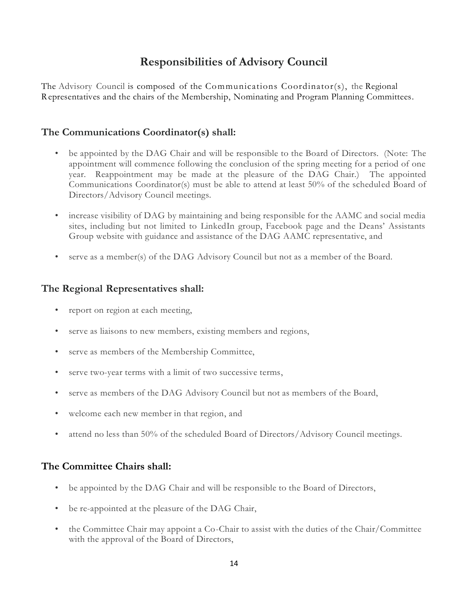# **Responsibilities of Advisory Council**

The Advisory Council is composed of the Communications Coordinator(s), the Regional Representatives and the chairs of the Membership, Nominating and Program Planning Committees.

# **The Communications Coordinator(s) shall:**

- be appointed by the DAG Chair and will be responsible to the Board of Directors. (Note: The appointment will commence following the conclusion of the spring meeting for a period of one year. Reappointment may be made at the pleasure of the DAG Chair.) The appointed Communications Coordinator(s) must be able to attend at least 50% of the scheduled Board of Directors/Advisory Council meetings.
- increase visibility of DAG by maintaining and being responsible for the AAMC and social media sites, including but not limited to LinkedIn group, Facebook page and the Deans' Assistants Group website with guidance and assistance of the DAG AAMC representative, and
- serve as a member(s) of the DAG Advisory Council but not as a member of the Board.

## **The Regional Representatives shall:**

- report on region at each meeting,
- serve as liaisons to new members, existing members and regions,
- serve as members of the Membership Committee,
- serve two-year terms with a limit of two successive terms,
- serve as members of the DAG Advisory Council but not as members of the Board,
- welcome each new member in that region, and
- attend no less than 50% of the scheduled Board of Directors/Advisory Council meetings.

## **The Committee Chairs shall:**

- be appointed by the DAG Chair and will be responsible to the Board of Directors,
- be re-appointed at the pleasure of the DAG Chair,
- the Committee Chair may appoint a Co-Chair to assist with the duties of the Chair/Committee with the approval of the Board of Directors,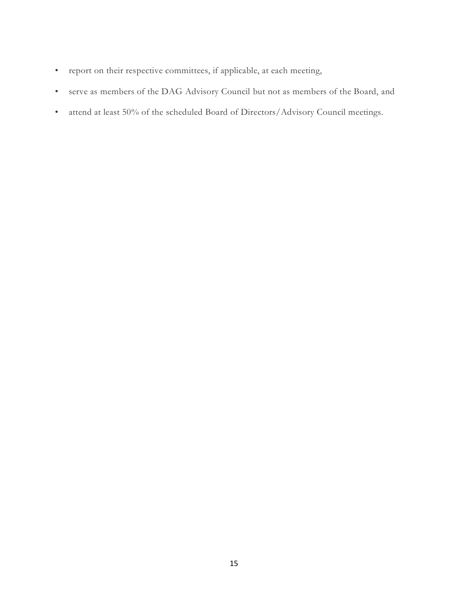- report on their respective committees, if applicable, at each meeting,
- serve as members of the DAG Advisory Council but not as members of the Board, and
- attend at least 50% of the scheduled Board of Directors/Advisory Council meetings.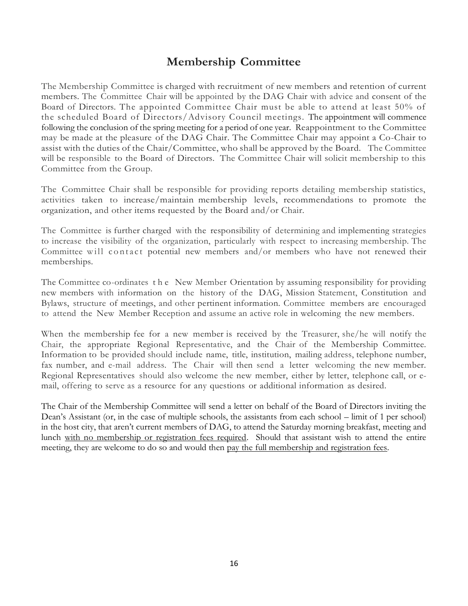# **Membership Committee**

The Membership Committee is charged with recruitment of new members and retention of current members. The Committee Chair will be appointed by the DAG Chair with advice and consent of the Board of Directors. The appointed Committee Chair must be able to attend at least 50% of the scheduled Board of Directors/Advisory Council meetings. The appointment will commence following the conclusion of the spring meeting for a period of one year. Reappointment to the Committee may be made at the pleasure of the DAG Chair. The Committee Chair may appoint a Co-Chair to assist with the duties of the Chair/Committee, who shall be approved by the Board. The Committee will be responsible to the Board of Directors. The Committee Chair will solicit membership to this Committee from the Group.

The Committee Chair shall be responsible for providing reports detailing membership statistics, activities taken to increase/maintain membership levels, recommendations to promote the organization, and other items requested by the Board and/or Chair.

The Committee is further charged with the responsibility of determining and implementing strategies to increase the visibility of the organization, particularly with respect to increasing membership. The Committee will contact potential new members and/or members who have not renewed their memberships.

The Committee co-ordinates t h e New Member Orientation by assuming responsibility for providing new members with information on the history of the DAG, Mission Statement, Constitution and Bylaws, structure of meetings, and other pertinent information. Committee members are encouraged to attend the New Member Reception and assume an active role in welcoming the new members.

When the membership fee for a new member is received by the Treasurer, she/he will notify the Chair, the appropriate Regional Representative, and the Chair of the Membership Committee. Information to be provided should include name, title, institution, mailing address, telephone number, fax number, and e-mail address. The Chair will then send a letter welcoming the new member. Regional Representatives should also welcome the new member, either by letter, telephone call, or email, offering to serve as a resource for any questions or additional information as desired.

The Chair of the Membership Committee will send a letter on behalf of the Board of Directors inviting the Dean's Assistant (or, in the case of multiple schools, the assistants from each school – limit of 1 per school) in the host city, that aren't current members of DAG, to attend the Saturday morning breakfast, meeting and lunch with no membership or registration fees required. Should that assistant wish to attend the entire meeting, they are welcome to do so and would then pay the full membership and registration fees.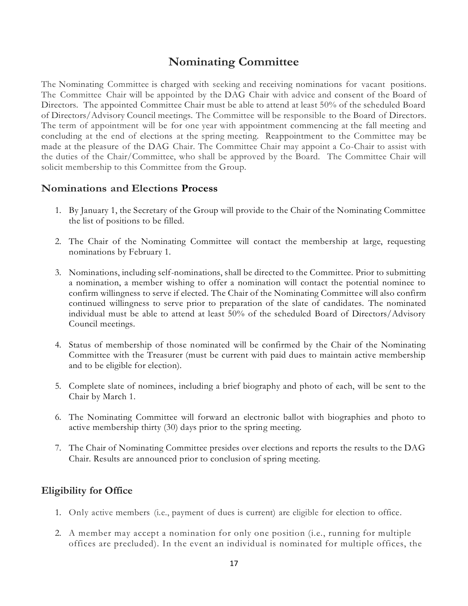# **Nominating Committee**

The Nominating Committee is charged with seeking and receiving nominations for vacant positions. The Committee Chair will be appointed by the DAG Chair with advice and consent of the Board of Directors. The appointed Committee Chair must be able to attend at least 50% of the scheduled Board of Directors/Advisory Council meetings. The Committee will be responsible to the Board of Directors. The term of appointment will be for one year with appointment commencing at the fall meeting and concluding at the end of elections at the spring meeting. Reappointment to the Committee may be made at the pleasure of the DAG Chair. The Committee Chair may appoint a Co-Chair to assist with the duties of the Chair/Committee, who shall be approved by the Board. The Committee Chair will solicit membership to this Committee from the Group.

## **Nominations and Elections Process**

- 1. By January 1, the Secretary of the Group will provide to the Chair of the Nominating Committee the list of positions to be filled.
- 2. The Chair of the Nominating Committee will contact the membership at large, requesting nominations by February 1.
- 3. Nominations, including self-nominations, shall be directed to the Committee. Prior to submitting a nomination, a member wishing to offer a nomination will contact the potential nominee to confirm willingness to serve if elected. The Chair of the Nominating Committee will also confirm continued willingness to serve prior to preparation of the slate of candidates. The nominated individual must be able to attend at least 50% of the scheduled Board of Directors/Advisory Council meetings.
- 4. Status of membership of those nominated will be confirmed by the Chair of the Nominating Committee with the Treasurer (must be current with paid dues to maintain active membership and to be eligible for election).
- 5. Complete slate of nominees, including a brief biography and photo of each, will be sent to the Chair by March 1.
- 6. The Nominating Committee will forward an electronic ballot with biographies and photo to active membership thirty (30) days prior to the spring meeting.
- 7. The Chair of Nominating Committee presides over elections and reports the results to the DAG Chair. Results are announced prior to conclusion of spring meeting.

## **Eligibility for Office**

- 1. Only active members (i.e., payment of dues is current) are eligible for election to office.
- 2. A member may accept a nomination for only one position (i.e., running for multiple offices are precluded). In the event an individual is nominated for multiple offices, the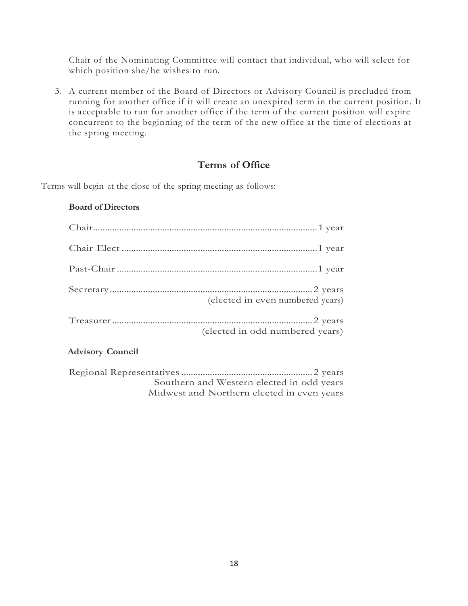Chair of the Nominating Committee will contact that individual, who will select for which position she/he wishes to run.

3. A current member of the Board of Directors or Advisory Council is precluded from running for another office if it will create an unexpired term in the current position. It is acceptable to run for another office if the term of the current position will expire concurrent to the beginning of the term of the new office at the time of elections at the spring meeting.

### **Terms of Office**

Terms will begin at the close of the spring meeting as follows:

#### **Board of Directors**

| (elected in even numbered years) |
|----------------------------------|
| (elected in odd numbered years)  |

#### **Advisory Council**

| Southern and Western elected in odd years  |  |
|--------------------------------------------|--|
| Midwest and Northern elected in even years |  |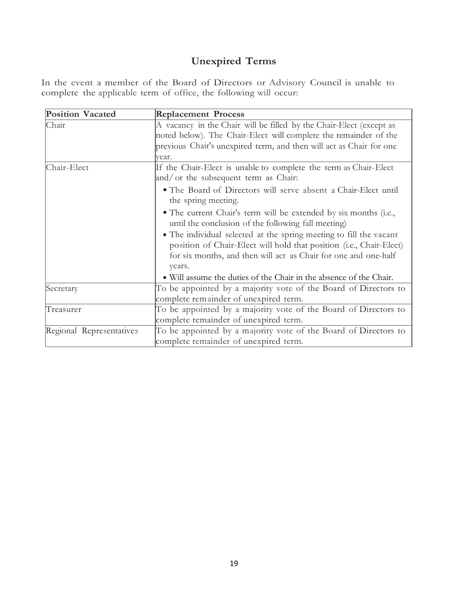# **Unexpired Terms**

In the event a member of the Board of Directors or Advisory Council is unable to complete the applicable term of office, the following will occur:

| <b>Position Vacated</b>  | <b>Replacement Process</b>                                                                                                                                                                                             |
|--------------------------|------------------------------------------------------------------------------------------------------------------------------------------------------------------------------------------------------------------------|
| Chair                    | A vacancy in the Chair will be filled by the Chair-Elect (except as                                                                                                                                                    |
|                          | noted below). The Chair-Elect will complete the remainder of the                                                                                                                                                       |
|                          | previous Chair's unexpired term, and then will act as Chair for one                                                                                                                                                    |
|                          | vear.                                                                                                                                                                                                                  |
| Chair-Elect              | If the Chair-Elect is unable to complete the term as Chair-Elect<br>and/ or the subsequent term as Chair:                                                                                                              |
|                          | • The Board of Directors will serve absent a Chair-Elect until<br>the spring meeting.                                                                                                                                  |
|                          | • The current Chair's term will be extended by six months (i.e.,<br>until the conclusion of the following fall meeting)                                                                                                |
|                          | • The individual selected at the spring meeting to fill the vacant<br>position of Chair-Elect will hold that position (i.e., Chair-Elect)<br>for six months, and then will act as Chair for one and one-half<br>years. |
|                          | • Will assume the duties of the Chair in the absence of the Chair.                                                                                                                                                     |
| Secretary                | To be appointed by a majority vote of the Board of Directors to                                                                                                                                                        |
|                          | complete remainder of unexpired term.                                                                                                                                                                                  |
| Treasurer                | To be appointed by a majority vote of the Board of Directors to                                                                                                                                                        |
|                          | complete remainder of unexpired term.                                                                                                                                                                                  |
| Regional Representatives | To be appointed by a majority vote of the Board of Directors to<br>complete remainder of unexpired term.                                                                                                               |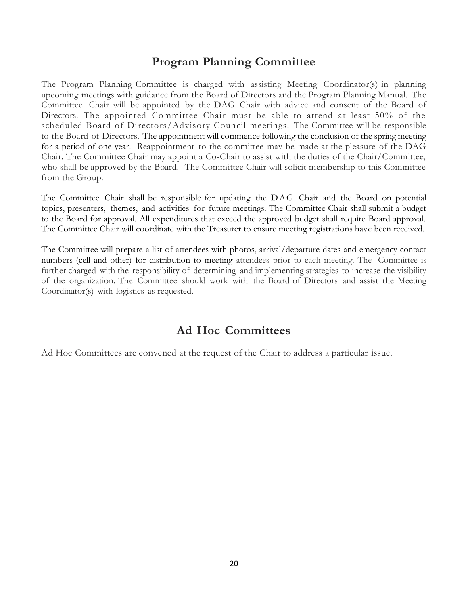# **Program Planning Committee**

The Program Planning Committee is charged with assisting Meeting Coordinator(s) in planning upcoming meetings with guidance from the Board of Directors and the Program Planning Manual. The Committee Chair will be appointed by the DAG Chair with advice and consent of the Board of Directors. The appointed Committee Chair must be able to attend at least 50% of the scheduled Board of Directors/Advisory Council meetings. The Committee will be responsible to the Board of Directors. The appointment will commence following the conclusion of the spring meeting for a period of one year. Reappointment to the committee may be made at the pleasure of the DAG Chair. The Committee Chair may appoint a Co-Chair to assist with the duties of the Chair/Committee, who shall be approved by the Board. The Committee Chair will solicit membership to this Committee from the Group.

The Committee Chair shall be responsible for updating the D AG Chair and the Board on potential topics, presenters, themes, and activities for future meetings. The Committee Chair shall submit a budget to the Board for approval. All expenditures that exceed the approved budget shall require Board approval. The Committee Chair will coordinate with the Treasurer to ensure meeting registrations have been received.

The Committee will prepare a list of attendees with photos, arrival/departure dates and emergency contact numbers (cell and other) for distribution to meeting attendees prior to each meeting. The Committee is further charged with the responsibility of determining and implementing strategies to increase the visibility of the organization. The Committee should work with the Board of Directors and assist the Meeting Coordinator(s) with logistics as requested.

# **Ad Hoc Committees**

Ad Hoc Committees are convened at the request of the Chair to address a particular issue.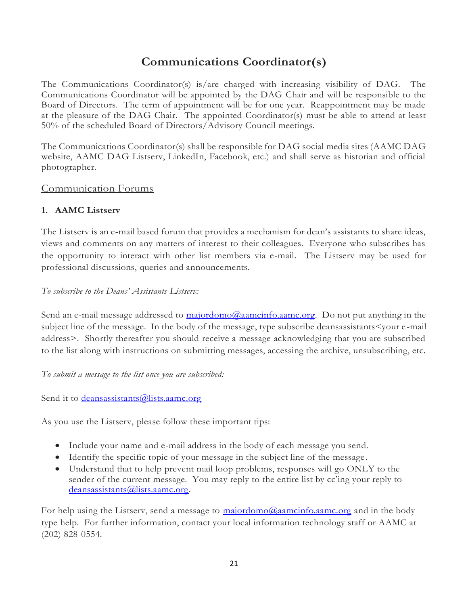# **Communications Coordinator(s)**

The Communications Coordinator(s) is/are charged with increasing visibility of DAG. The Communications Coordinator will be appointed by the DAG Chair and will be responsible to the Board of Directors. The term of appointment will be for one year. Reappointment may be made at the pleasure of the DAG Chair. The appointed Coordinator(s) must be able to attend at least 50% of the scheduled Board of Directors/Advisory Council meetings.

The Communications Coordinator(s) shall be responsible for DAG social media sites (AAMC DAG website, AAMC DAG Listserv, LinkedIn, Facebook, etc.) and shall serve as historian and official photographer.

# Communication Forums

# **1. AAMC Listserv**

The Listserv is an e-mail based forum that provides a mechanism for dean's assistants to share ideas, views and comments on any matters of interest to their colleagues. Everyone who subscribes has the opportunity to interact with other list members via e-mail. The Listserv may be used for professional discussions, queries and announcements.

## *To subscribe to the Deans' Assistants Listserv:*

Send an e-mail message addressed to [majordomo@aamcinfo.aamc.org.](mailto:majordomo@aamcinfo.aamc.org) Do not put anything in the subject line of the message. In the body of the message, type subscribe deansassistants<your e -mail address>. Shortly thereafter you should receive a message acknowledging that you are subscribed to the list along with instructions on submitting messages, accessing the archive, unsubscribing, etc.

*To submit a message to the list once you are subscribed:*

Send it to *deansassistants@lists.aamc.org* 

As you use the Listserv, please follow these important tips:

- Include your name and e-mail address in the body of each message you send.
- Identify the specific topic of your message in the subject line of the message .
- Understand that to help prevent mail loop problems, responses will go ONLY to the sender of the current message. You may reply to the entire list by cc'ing your reply to [deansassistants@lists.aamc.org.](mailto:deansassistants@lists.aamc.org)

For help using the Listserv, send a message to [majordomo@aamcinfo.aamc.org](mailto:majordomo@aamcinfo.aamc.org) and in the body type help. For further information, contact your local information technology staff or AAMC at (202) 828-0554.